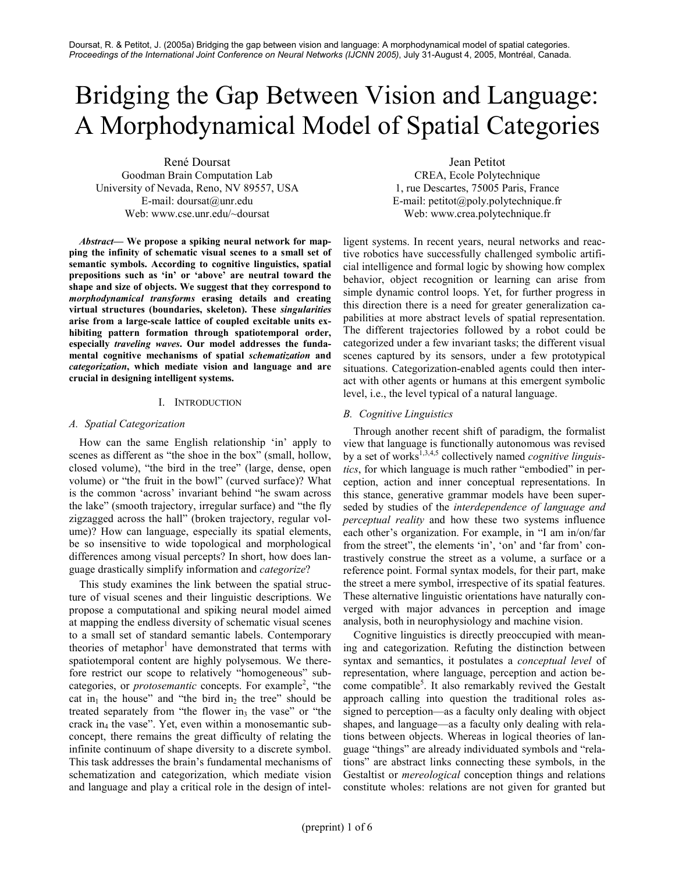# Bridging the Gap Between Vision and Language: A Morphodynamical Model of Spatial Categories

René Doursat Goodman Brain Computation Lab University of Nevada, Reno, NV 89557, USA E-mail: doursat@unr.edu Web: www.cse.unr.edu/~doursat

Abstract— We propose a spiking neural network for mapping the infinity of schematic visual scenes to a small set of semantic symbols. According to cognitive linguistics, spatial prepositions such as 'in' or 'above' are neutral toward the shape and size of objects. We suggest that they correspond to morphodynamical transforms erasing details and creating virtual structures (boundaries, skeleton). These singularities arise from a large-scale lattice of coupled excitable units exhibiting pattern formation through spatiotemporal order, especially traveling waves. Our model addresses the fundamental cognitive mechanisms of spatial schematization and categorization, which mediate vision and language and are crucial in designing intelligent systems.

#### I. INTRODUCTION

## A. Spatial Categorization

How can the same English relationship 'in' apply to scenes as different as "the shoe in the box" (small, hollow, closed volume), "the bird in the tree" (large, dense, open volume) or "the fruit in the bowl" (curved surface)? What is the common 'across' invariant behind "he swam across the lake" (smooth trajectory, irregular surface) and "the fly zigzagged across the hall" (broken trajectory, regular volume)? How can language, especially its spatial elements, be so insensitive to wide topological and morphological differences among visual percepts? In short, how does language drastically simplify information and categorize?

This study examines the link between the spatial structure of visual scenes and their linguistic descriptions. We propose a computational and spiking neural model aimed at mapping the endless diversity of schematic visual scenes to a small set of standard semantic labels. Contemporary theories of metaphor<sup>1</sup> have demonstrated that terms with spatiotemporal content are highly polysemous. We therefore restrict our scope to relatively "homogeneous" subcategories, or *protosemantic* concepts. For example<sup>2</sup>, "the cat in<sub>1</sub> the house" and "the bird in<sub>2</sub> the tree" should be treated separately from "the flower in<sub>3</sub> the vase" or "the crack in<sub>4</sub> the vase". Yet, even within a monosemantic subconcept, there remains the great difficulty of relating the infinite continuum of shape diversity to a discrete symbol. This task addresses the brain's fundamental mechanisms of schematization and categorization, which mediate vision and language and play a critical role in the design of intel-

Jean Petitot CREA, Ecole Polytechnique 1, rue Descartes, 75005 Paris, France E-mail: petitot@poly.polytechnique.fr Web: www.crea.polytechnique.fr

ligent systems. In recent years, neural networks and reactive robotics have successfully challenged symbolic artificial intelligence and formal logic by showing how complex behavior, object recognition or learning can arise from simple dynamic control loops. Yet, for further progress in this direction there is a need for greater generalization capabilities at more abstract levels of spatial representation. The different trajectories followed by a robot could be categorized under a few invariant tasks; the different visual scenes captured by its sensors, under a few prototypical situations. Categorization-enabled agents could then interact with other agents or humans at this emergent symbolic level, i.e., the level typical of a natural language.

# B. Cognitive Linguistics

Through another recent shift of paradigm, the formalist view that language is functionally autonomous was revised by a set of works<sup> $1,3,4,5$ </sup> collectively named *cognitive linguis*tics, for which language is much rather "embodied" in perception, action and inner conceptual representations. In this stance, generative grammar models have been superseded by studies of the interdependence of language and perceptual reality and how these two systems influence each other's organization. For example, in "I am in/on/far from the street", the elements 'in', 'on' and 'far from' contrastively construe the street as a volume, a surface or a reference point. Formal syntax models, for their part, make the street a mere symbol, irrespective of its spatial features. These alternative linguistic orientations have naturally converged with major advances in perception and image analysis, both in neurophysiology and machine vision.

Cognitive linguistics is directly preoccupied with meaning and categorization. Refuting the distinction between syntax and semantics, it postulates a conceptual level of representation, where language, perception and action become compatible<sup>5</sup>. It also remarkably revived the Gestalt approach calling into question the traditional roles assigned to perception—as a faculty only dealing with object shapes, and language—as a faculty only dealing with relations between objects. Whereas in logical theories of language "things" are already individuated symbols and "relations" are abstract links connecting these symbols, in the Gestaltist or mereological conception things and relations constitute wholes: relations are not given for granted but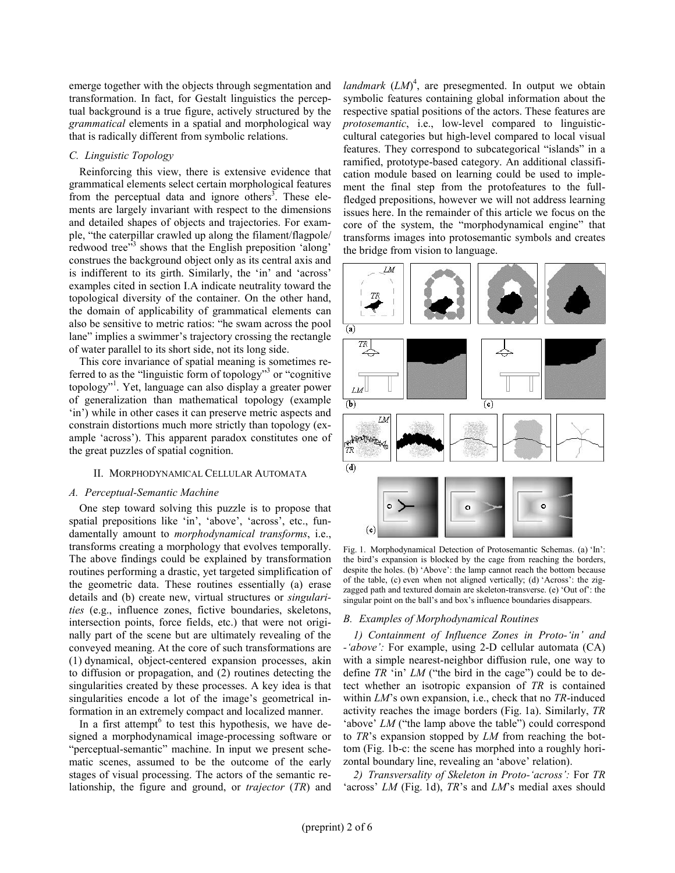emerge together with the objects through segmentation and transformation. In fact, for Gestalt linguistics the perceptual background is a true figure, actively structured by the grammatical elements in a spatial and morphological way that is radically different from symbolic relations.

# C. Linguistic Topology

Reinforcing this view, there is extensive evidence that grammatical elements select certain morphological features from the perceptual data and ignore others<sup>3</sup>. These elements are largely invariant with respect to the dimensions and detailed shapes of objects and trajectories. For example, "the caterpillar crawled up along the filament/flagpole/ redwood tree"<sup>3</sup> shows that the English preposition 'along' construes the background object only as its central axis and is indifferent to its girth. Similarly, the 'in' and 'across' examples cited in section I.A indicate neutrality toward the topological diversity of the container. On the other hand, the domain of applicability of grammatical elements can also be sensitive to metric ratios: "he swam across the pool lane" implies a swimmer's trajectory crossing the rectangle of water parallel to its short side, not its long side.

This core invariance of spatial meaning is sometimes referred to as the "linguistic form of topology"<sup>3</sup> or "cognitive" topology"<sup>1</sup> . Yet, language can also display a greater power of generalization than mathematical topology (example 'in') while in other cases it can preserve metric aspects and constrain distortions much more strictly than topology (example 'across'). This apparent paradox constitutes one of the great puzzles of spatial cognition.

## II. MORPHODYNAMICAL CELLULAR AUTOMATA

# A. Perceptual-Semantic Machine

One step toward solving this puzzle is to propose that spatial prepositions like 'in', 'above', 'across', etc., fundamentally amount to morphodynamical transforms, i.e., transforms creating a morphology that evolves temporally. The above findings could be explained by transformation routines performing a drastic, yet targeted simplification of the geometric data. These routines essentially (a) erase details and (b) create new, virtual structures or singularities (e.g., influence zones, fictive boundaries, skeletons, intersection points, force fields, etc.) that were not originally part of the scene but are ultimately revealing of the conveyed meaning. At the core of such transformations are (1) dynamical, object-centered expansion processes, akin to diffusion or propagation, and (2) routines detecting the singularities created by these processes. A key idea is that singularities encode a lot of the image's geometrical information in an extremely compact and localized manner.

In a first attempt<sup>6</sup> to test this hypothesis, we have designed a morphodynamical image-processing software or "perceptual-semantic" machine. In input we present schematic scenes, assumed to be the outcome of the early stages of visual processing. The actors of the semantic relationship, the figure and ground, or trajector (TR) and

landmark  $(LM)^4$ , are presegmented. In output we obtain symbolic features containing global information about the respective spatial positions of the actors. These features are protosemantic, i.e., low-level compared to linguisticcultural categories but high-level compared to local visual features. They correspond to subcategorical "islands" in a ramified, prototype-based category. An additional classification module based on learning could be used to implement the final step from the protofeatures to the fullfledged prepositions, however we will not address learning issues here. In the remainder of this article we focus on the core of the system, the "morphodynamical engine" that transforms images into protosemantic symbols and creates the bridge from vision to language.



Fig. 1. Morphodynamical Detection of Protosemantic Schemas. (a) 'In': the bird's expansion is blocked by the cage from reaching the borders, despite the holes. (b) 'Above': the lamp cannot reach the bottom because of the table, (c) even when not aligned vertically; (d) 'Across': the zigzagged path and textured domain are skeleton-transverse. (e) 'Out of': the singular point on the ball's and box's influence boundaries disappears.

# B. Examples of Morphodynamical Routines

1) Containment of Influence Zones in Proto-'in' and -'above': For example, using 2-D cellular automata (CA) with a simple nearest-neighbor diffusion rule, one way to define  $TR$  'in'  $LM$  ("the bird in the cage") could be to detect whether an isotropic expansion of TR is contained within LM's own expansion, i.e., check that no TR-induced activity reaches the image borders (Fig. 1a). Similarly, TR 'above' LM ("the lamp above the table") could correspond to TR's expansion stopped by LM from reaching the bottom (Fig. 1b-c: the scene has morphed into a roughly horizontal boundary line, revealing an 'above' relation).

2) Transversality of Skeleton in Proto-'across': For TR 'across' LM (Fig. 1d), TR's and LM's medial axes should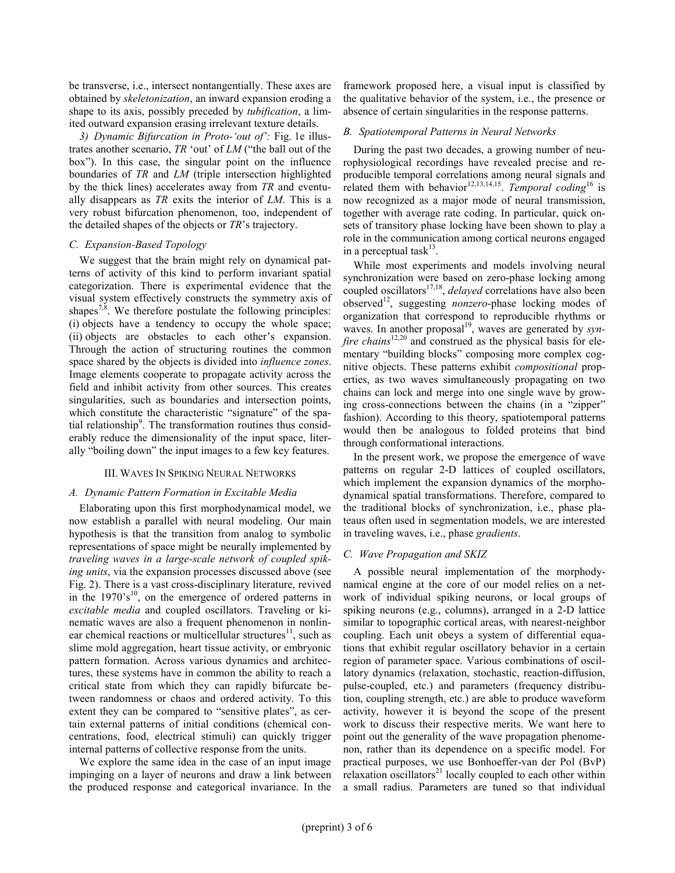be transverse, i.e., intersect nontangentially. These axes are obtained by skeletonization, an inward expansion eroding a shape to its axis, possibly preceded by tubification, a limited outward expansion erasing irrelevant texture details.

3) Dynamic Bifurcation in Proto-'out of': Fig. 1e illustrates another scenario, TR 'out' of LM ("the ball out of the box"). In this case, the singular point on the influence boundaries of TR and LM (triple intersection highlighted by the thick lines) accelerates away from  $TR$  and eventually disappears as  $TR$  exits the interior of  $LM$ . This is a very robust bifurcation phenomenon, too, independent of the detailed shapes of the objects or TR's trajectory.

## C. Expansion-Based Topology

We suggest that the brain might rely on dynamical patterns of activity of this kind to perform invariant spatial categorization. There is experimental evidence that the visual system effectively constructs the symmetry axis of shapes<sup>7,8</sup>. We therefore postulate the following principles: (i) objects have a tendency to occupy the whole space; (ii) objects are obstacles to each other's expansion. Through the action of structuring routines the common space shared by the objects is divided into influence zones. Image elements cooperate to propagate activity across the field and inhibit activity from other sources. This creates singularities, such as boundaries and intersection points, which constitute the characteristic "signature" of the spatial relationship<sup>9</sup>. The transformation routines thus considerably reduce the dimensionality of the input space, literally "boiling down" the input images to a few key features.

#### III. WAVES IN SPIKING NEURAL NETWORKS

## A. Dynamic Pattern Formation in Excitable Media

Elaborating upon this first morphodynamical model, we now establish a parallel with neural modeling. Our main hypothesis is that the transition from analog to symbolic representations of space might be neurally implemented by traveling waves in a large-scale network of coupled spiking units, via the expansion processes discussed above (see Fig. 2). There is a vast cross-disciplinary literature, revived in the  $1970's<sup>10</sup>$ , on the emergence of ordered patterns in excitable media and coupled oscillators. Traveling or kinematic waves are also a frequent phenomenon in nonlinear chemical reactions or multicellular structures<sup>11</sup>, such as slime mold aggregation, heart tissue activity, or embryonic pattern formation. Across various dynamics and architectures, these systems have in common the ability to reach a critical state from which they can rapidly bifurcate between randomness or chaos and ordered activity. To this extent they can be compared to "sensitive plates", as certain external patterns of initial conditions (chemical concentrations, food, electrical stimuli) can quickly trigger internal patterns of collective response from the units.

We explore the same idea in the case of an input image impinging on a layer of neurons and draw a link between the produced response and categorical invariance. In the framework proposed here, a visual input is classified by the qualitative behavior of the system, i.e., the presence or absence of certain singularities in the response patterns.

# B. Spatiotemporal Patterns in Neural Networks

During the past two decades, a growing number of neurophysiological recordings have revealed precise and reproducible temporal correlations among neural signals and related them with behavior<sup>12,13,14,15</sup>. Temporal coding<sup>16</sup> is now recognized as a major mode of neural transmission, together with average rate coding. In particular, quick onsets of transitory phase locking have been shown to play a role in the communication among cortical neurons engaged in a perceptual task $^{13}$ .

While most experiments and models involving neural synchronization were based on zero-phase locking among coupled oscillators<sup>17,18</sup>, delayed correlations have also been observed<sup>12</sup>, suggesting *nonzero*-phase locking modes of organization that correspond to reproducible rhythms or waves. In another proposal<sup>19</sup>, waves are generated by  $syn$ fire chains<sup>12,20</sup> and construed as the physical basis for elementary "building blocks" composing more complex cognitive objects. These patterns exhibit compositional properties, as two waves simultaneously propagating on two chains can lock and merge into one single wave by growing cross-connections between the chains (in a "zipper" fashion). According to this theory, spatiotemporal patterns would then be analogous to folded proteins that bind through conformational interactions.

In the present work, we propose the emergence of wave patterns on regular 2-D lattices of coupled oscillators, which implement the expansion dynamics of the morphodynamical spatial transformations. Therefore, compared to the traditional blocks of synchronization, i.e., phase plateaus often used in segmentation models, we are interested in traveling waves, i.e., phase gradients.

#### C. Wave Propagation and SKIZ

A possible neural implementation of the morphodynamical engine at the core of our model relies on a network of individual spiking neurons, or local groups of spiking neurons (e.g., columns), arranged in a 2-D lattice similar to topographic cortical areas, with nearest-neighbor coupling. Each unit obeys a system of differential equations that exhibit regular oscillatory behavior in a certain region of parameter space. Various combinations of oscillatory dynamics (relaxation, stochastic, reaction-diffusion, pulse-coupled, etc.) and parameters (frequency distribution, coupling strength, etc.) are able to produce waveform activity, however it is beyond the scope of the present work to discuss their respective merits. We want here to point out the generality of the wave propagation phenomenon, rather than its dependence on a specific model. For practical purposes, we use Bonhoeffer-van der Pol (BvP) relaxation oscillators<sup>21</sup> locally coupled to each other within a small radius. Parameters are tuned so that individual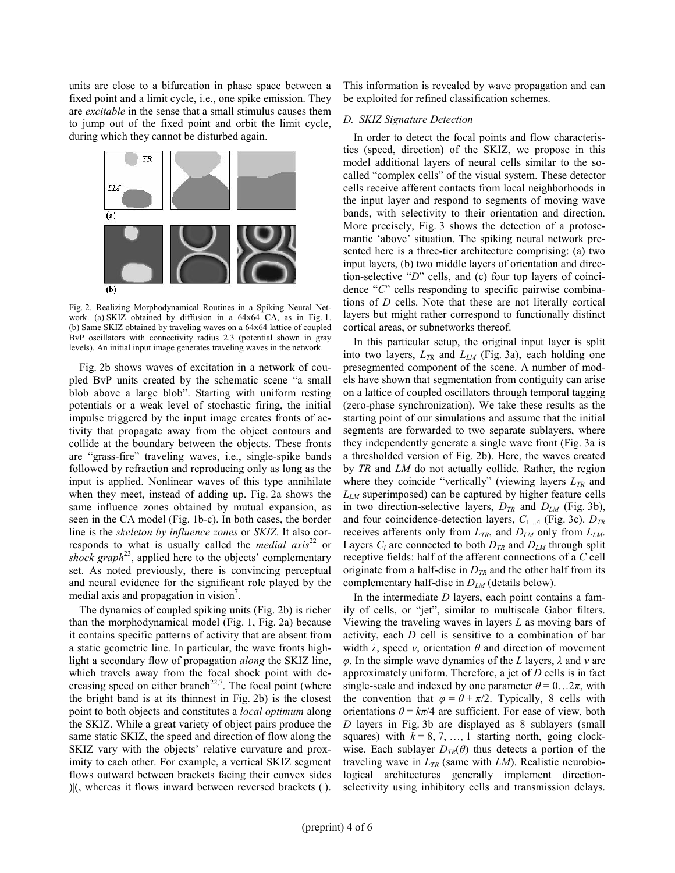units are close to a bifurcation in phase space between a fixed point and a limit cycle, i.e., one spike emission. They are excitable in the sense that a small stimulus causes them to jump out of the fixed point and orbit the limit cycle, during which they cannot be disturbed again.



Fig. 2. Realizing Morphodynamical Routines in a Spiking Neural Network. (a) SKIZ obtained by diffusion in a 64x64 CA, as in Fig. 1. (b) Same SKIZ obtained by traveling waves on a 64x64 lattice of coupled BvP oscillators with connectivity radius 2.3 (potential shown in gray levels). An initial input image generates traveling waves in the network.

Fig. 2b shows waves of excitation in a network of coupled BvP units created by the schematic scene "a small blob above a large blob". Starting with uniform resting potentials or a weak level of stochastic firing, the initial impulse triggered by the input image creates fronts of activity that propagate away from the object contours and collide at the boundary between the objects. These fronts are "grass-fire" traveling waves, i.e., single-spike bands followed by refraction and reproducing only as long as the input is applied. Nonlinear waves of this type annihilate when they meet, instead of adding up. Fig. 2a shows the same influence zones obtained by mutual expansion, as seen in the CA model (Fig. 1b-c). In both cases, the border line is the skeleton by influence zones or SKIZ. It also corresponds to what is usually called the *medial*  $axis^{22}$  or shock graph<sup>23</sup>, applied here to the objects' complementary set. As noted previously, there is convincing perceptual and neural evidence for the significant role played by the medial axis and propagation in vision<sup>7</sup>.

The dynamics of coupled spiking units (Fig. 2b) is richer than the morphodynamical model (Fig. 1, Fig. 2a) because it contains specific patterns of activity that are absent from a static geometric line. In particular, the wave fronts highlight a secondary flow of propagation along the SKIZ line, which travels away from the focal shock point with decreasing speed on either branch<sup>22,7</sup>. The focal point (where the bright band is at its thinnest in Fig. 2b) is the closest point to both objects and constitutes a local optimum along the SKIZ. While a great variety of object pairs produce the same static SKIZ, the speed and direction of flow along the SKIZ vary with the objects' relative curvature and proximity to each other. For example, a vertical SKIZ segment flows outward between brackets facing their convex sides )|(, whereas it flows inward between reversed brackets (|).

This information is revealed by wave propagation and can be exploited for refined classification schemes.

## D. SKIZ Signature Detection

In order to detect the focal points and flow characteristics (speed, direction) of the SKIZ, we propose in this model additional layers of neural cells similar to the socalled "complex cells" of the visual system. These detector cells receive afferent contacts from local neighborhoods in the input layer and respond to segments of moving wave bands, with selectivity to their orientation and direction. More precisely, Fig. 3 shows the detection of a protosemantic 'above' situation. The spiking neural network presented here is a three-tier architecture comprising: (a) two input layers, (b) two middle layers of orientation and direction-selective "D" cells, and (c) four top layers of coincidence "C" cells responding to specific pairwise combinations of D cells. Note that these are not literally cortical layers but might rather correspond to functionally distinct cortical areas, or subnetworks thereof.

In this particular setup, the original input layer is split into two layers,  $L_{TR}$  and  $L_{LM}$  (Fig. 3a), each holding one presegmented component of the scene. A number of models have shown that segmentation from contiguity can arise on a lattice of coupled oscillators through temporal tagging (zero-phase synchronization). We take these results as the starting point of our simulations and assume that the initial segments are forwarded to two separate sublayers, where they independently generate a single wave front (Fig. 3a is a thresholded version of Fig. 2b). Here, the waves created by TR and LM do not actually collide. Rather, the region where they coincide "vertically" (viewing layers  $L_{TR}$  and  $L_{LM}$  superimposed) can be captured by higher feature cells in two direction-selective layers,  $D_{TR}$  and  $D_{LM}$  (Fig. 3b), and four coincidence-detection layers,  $C_{1...4}$  (Fig. 3c).  $D_{TR}$ receives afferents only from  $L_{IR}$ , and  $D_{LM}$  only from  $L_{LM}$ . Layers  $C_i$  are connected to both  $D_{TR}$  and  $D_{LM}$  through split receptive fields: half of the afferent connections of a C cell originate from a half-disc in  $D_{TR}$  and the other half from its complementary half-disc in  $D_{LM}$  (details below).

In the intermediate  $D$  layers, each point contains a family of cells, or "jet", similar to multiscale Gabor filters. Viewing the traveling waves in layers  $L$  as moving bars of activity, each  $D$  cell is sensitive to a combination of bar width  $\lambda$ , speed v, orientation  $\theta$  and direction of movement  $\varphi$ . In the simple wave dynamics of the L layers,  $\lambda$  and  $\nu$  are approximately uniform. Therefore, a jet of  $D$  cells is in fact single-scale and indexed by one parameter  $\theta = 0...2\pi$ , with the convention that  $\varphi = \theta + \pi/2$ . Typically, 8 cells with orientations  $\theta = k\pi/4$  are sufficient. For ease of view, both D layers in Fig. 3b are displayed as 8 sublayers (small squares) with  $k = 8, 7, ..., 1$  starting north, going clockwise. Each sublayer  $D_{TR}(\theta)$  thus detects a portion of the traveling wave in  $L_{TR}$  (same with LM). Realistic neurobiological architectures generally implement directionselectivity using inhibitory cells and transmission delays.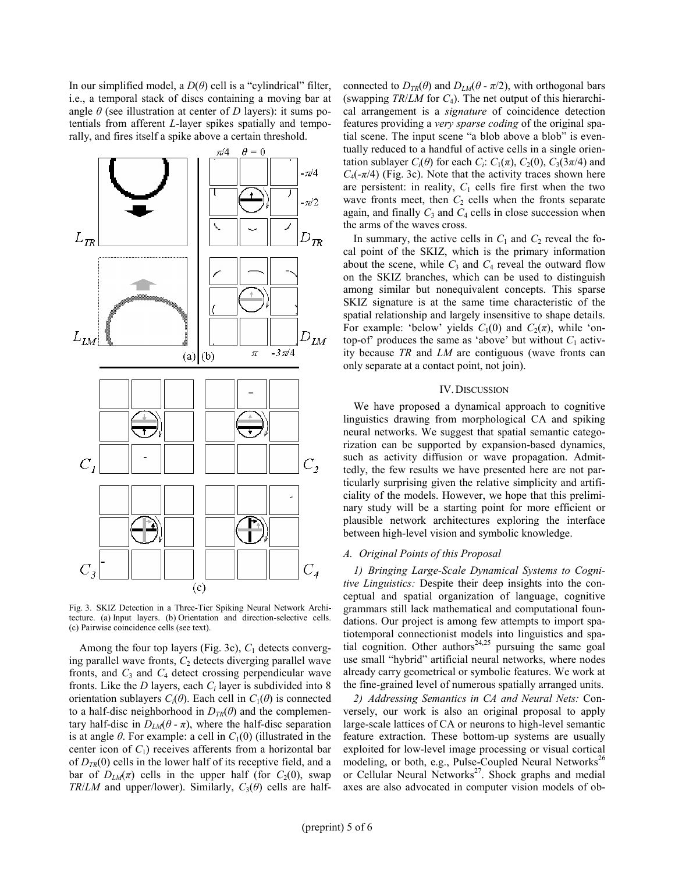In our simplified model, a  $D(\theta)$  cell is a "cylindrical" filter, i.e., a temporal stack of discs containing a moving bar at angle  $\theta$  (see illustration at center of D layers): it sums potentials from afferent L-layer spikes spatially and temporally, and fires itself a spike above a certain threshold.



Fig. 3. SKIZ Detection in a Three-Tier Spiking Neural Network Architecture. (a) Input layers. (b) Orientation and direction-selective cells. (c) Pairwise coincidence cells (see text).

Among the four top layers (Fig. 3c),  $C_1$  detects converging parallel wave fronts,  $C_2$  detects diverging parallel wave fronts, and  $C_3$  and  $C_4$  detect crossing perpendicular wave fronts. Like the *D* layers, each  $C_i$  layer is subdivided into 8 orientation sublayers  $C_i(\theta)$ . Each cell in  $C_1(\theta)$  is connected to a half-disc neighborhood in  $D_{TR}(\theta)$  and the complementary half-disc in  $D_{LM}(\theta - \pi)$ , where the half-disc separation is at angle  $\theta$ . For example: a cell in  $C_1(0)$  (illustrated in the center icon of  $C_1$ ) receives afferents from a horizontal bar of  $D_{TR}(0)$  cells in the lower half of its receptive field, and a bar of  $D_{LM}(\pi)$  cells in the upper half (for  $C_2(0)$ , swap TR/LM and upper/lower). Similarly,  $C_3(\theta)$  cells are half-

connected to  $D_{TR}(\theta)$  and  $D_{LM}(\theta - \pi/2)$ , with orthogonal bars (swapping  $TR/LM$  for  $C_4$ ). The net output of this hierarchical arrangement is a signature of coincidence detection features providing a very sparse coding of the original spatial scene. The input scene "a blob above a blob" is eventually reduced to a handful of active cells in a single orientation sublayer  $C_i(\theta)$  for each  $C_i$ :  $C_1(\pi)$ ,  $C_2(0)$ ,  $C_3(3\pi/4)$  and  $C_4(-\pi/4)$  (Fig. 3c). Note that the activity traces shown here are persistent: in reality,  $C_1$  cells fire first when the two wave fronts meet, then  $C_2$  cells when the fronts separate again, and finally  $C_3$  and  $C_4$  cells in close succession when the arms of the waves cross.

In summary, the active cells in  $C_1$  and  $C_2$  reveal the focal point of the SKIZ, which is the primary information about the scene, while  $C_3$  and  $C_4$  reveal the outward flow on the SKIZ branches, which can be used to distinguish among similar but nonequivalent concepts. This sparse SKIZ signature is at the same time characteristic of the spatial relationship and largely insensitive to shape details. For example: 'below' yields  $C_1(0)$  and  $C_2(\pi)$ , while 'ontop-of' produces the same as 'above' but without  $C_1$  activity because  $TR$  and  $LM$  are contiguous (wave fronts can only separate at a contact point, not join).

#### IV. DISCUSSION

We have proposed a dynamical approach to cognitive linguistics drawing from morphological CA and spiking neural networks. We suggest that spatial semantic categorization can be supported by expansion-based dynamics, such as activity diffusion or wave propagation. Admittedly, the few results we have presented here are not particularly surprising given the relative simplicity and artificiality of the models. However, we hope that this preliminary study will be a starting point for more efficient or plausible network architectures exploring the interface between high-level vision and symbolic knowledge.

#### A. Original Points of this Proposal

1) Bringing Large-Scale Dynamical Systems to Cognitive Linguistics: Despite their deep insights into the conceptual and spatial organization of language, cognitive grammars still lack mathematical and computational foundations. Our project is among few attempts to import spatiotemporal connectionist models into linguistics and spatial cognition. Other authors<sup>24,25</sup> pursuing the same goal use small "hybrid" artificial neural networks, where nodes already carry geometrical or symbolic features. We work at the fine-grained level of numerous spatially arranged units.

2) Addressing Semantics in CA and Neural Nets: Conversely, our work is also an original proposal to apply large-scale lattices of CA or neurons to high-level semantic feature extraction. These bottom-up systems are usually exploited for low-level image processing or visual cortical modeling, or both, e.g., Pulse-Coupled Neural Networks<sup>26</sup> or Cellular Neural Networks<sup>27</sup>. Shock graphs and medial axes are also advocated in computer vision models of ob